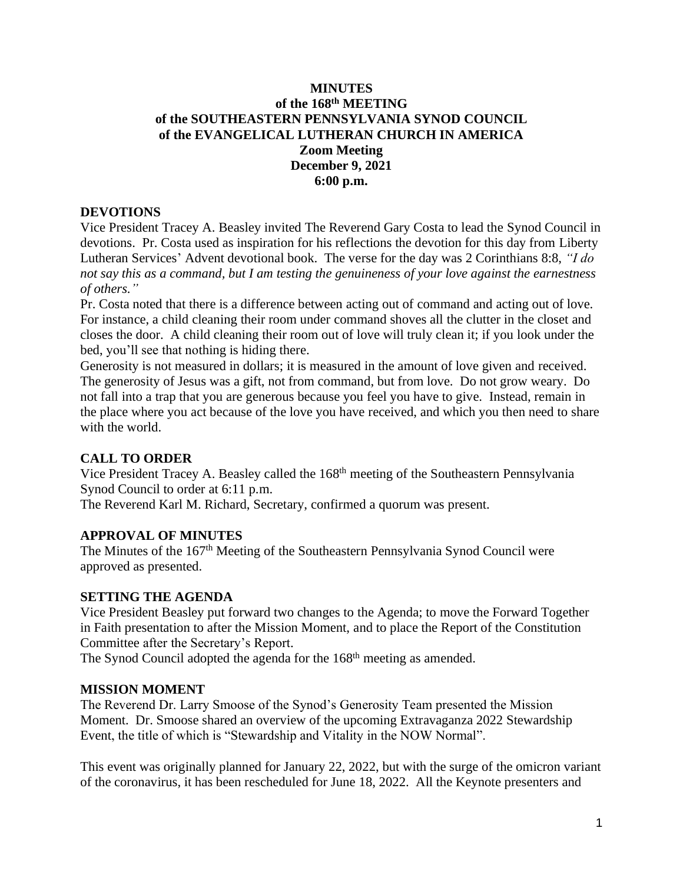# **MINUTES of the 168 th MEETING of the SOUTHEASTERN PENNSYLVANIA SYNOD COUNCIL of the EVANGELICAL LUTHERAN CHURCH IN AMERICA Zoom Meeting December 9, 2021 6:00 p.m.**

#### **DEVOTIONS**

Vice President Tracey A. Beasley invited The Reverend Gary Costa to lead the Synod Council in devotions. Pr. Costa used as inspiration for his reflections the devotion for this day from Liberty Lutheran Services' Advent devotional book. The verse for the day was 2 Corinthians 8:8, *"I do not say this as a command, but I am testing the genuineness of your love against the earnestness of others."*

Pr. Costa noted that there is a difference between acting out of command and acting out of love. For instance, a child cleaning their room under command shoves all the clutter in the closet and closes the door. A child cleaning their room out of love will truly clean it; if you look under the bed, you'll see that nothing is hiding there.

Generosity is not measured in dollars; it is measured in the amount of love given and received. The generosity of Jesus was a gift, not from command, but from love. Do not grow weary. Do not fall into a trap that you are generous because you feel you have to give. Instead, remain in the place where you act because of the love you have received, and which you then need to share with the world.

# **CALL TO ORDER**

Vice President Tracey A. Beasley called the 168<sup>th</sup> meeting of the Southeastern Pennsylvania Synod Council to order at 6:11 p.m.

The Reverend Karl M. Richard, Secretary, confirmed a quorum was present.

#### **APPROVAL OF MINUTES**

The Minutes of the 167<sup>th</sup> Meeting of the Southeastern Pennsylvania Synod Council were approved as presented.

#### **SETTING THE AGENDA**

Vice President Beasley put forward two changes to the Agenda; to move the Forward Together in Faith presentation to after the Mission Moment, and to place the Report of the Constitution Committee after the Secretary's Report.

The Synod Council adopted the agenda for the 168<sup>th</sup> meeting as amended.

#### **MISSION MOMENT**

The Reverend Dr. Larry Smoose of the Synod's Generosity Team presented the Mission Moment. Dr. Smoose shared an overview of the upcoming Extravaganza 2022 Stewardship Event, the title of which is "Stewardship and Vitality in the NOW Normal".

This event was originally planned for January 22, 2022, but with the surge of the omicron variant of the coronavirus, it has been rescheduled for June 18, 2022. All the Keynote presenters and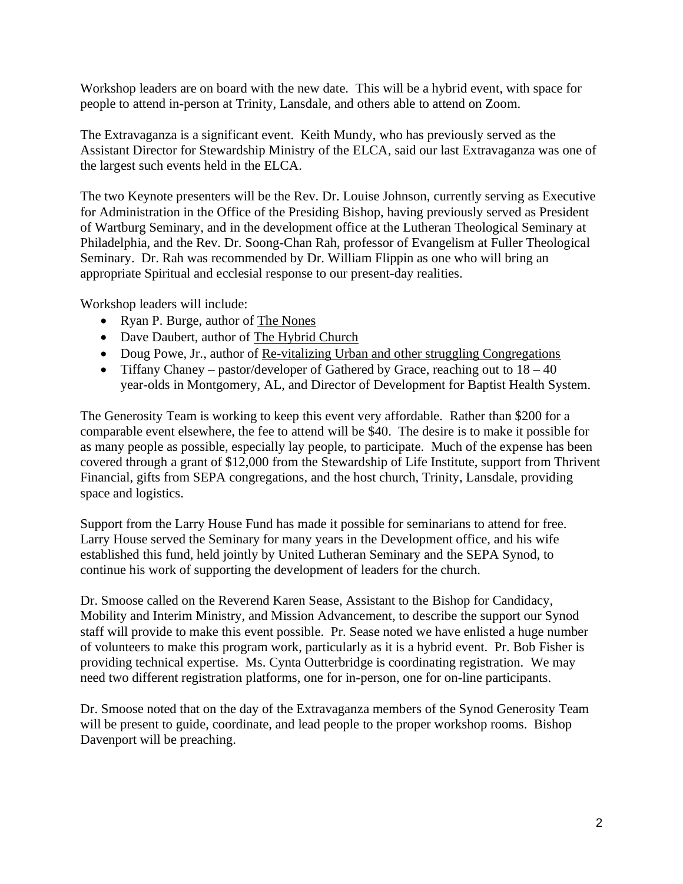Workshop leaders are on board with the new date. This will be a hybrid event, with space for people to attend in-person at Trinity, Lansdale, and others able to attend on Zoom.

The Extravaganza is a significant event. Keith Mundy, who has previously served as the Assistant Director for Stewardship Ministry of the ELCA, said our last Extravaganza was one of the largest such events held in the ELCA.

The two Keynote presenters will be the Rev. Dr. Louise Johnson, currently serving as Executive for Administration in the Office of the Presiding Bishop, having previously served as President of Wartburg Seminary, and in the development office at the Lutheran Theological Seminary at Philadelphia, and the Rev. Dr. Soong-Chan Rah, professor of Evangelism at Fuller Theological Seminary. Dr. Rah was recommended by Dr. William Flippin as one who will bring an appropriate Spiritual and ecclesial response to our present-day realities.

Workshop leaders will include:

- Ryan P. Burge, author of The Nones
- Dave Daubert, author of The Hybrid Church
- Doug Powe, Jr., author of Re-vitalizing Urban and other struggling Congregations
- Tiffany Chaney pastor/developer of Gathered by Grace, reaching out to  $18 40$ year-olds in Montgomery, AL, and Director of Development for Baptist Health System.

The Generosity Team is working to keep this event very affordable. Rather than \$200 for a comparable event elsewhere, the fee to attend will be \$40. The desire is to make it possible for as many people as possible, especially lay people, to participate. Much of the expense has been covered through a grant of \$12,000 from the Stewardship of Life Institute, support from Thrivent Financial, gifts from SEPA congregations, and the host church, Trinity, Lansdale, providing space and logistics.

Support from the Larry House Fund has made it possible for seminarians to attend for free. Larry House served the Seminary for many years in the Development office, and his wife established this fund, held jointly by United Lutheran Seminary and the SEPA Synod, to continue his work of supporting the development of leaders for the church.

Dr. Smoose called on the Reverend Karen Sease, Assistant to the Bishop for Candidacy, Mobility and Interim Ministry, and Mission Advancement, to describe the support our Synod staff will provide to make this event possible. Pr. Sease noted we have enlisted a huge number of volunteers to make this program work, particularly as it is a hybrid event. Pr. Bob Fisher is providing technical expertise. Ms. Cynta Outterbridge is coordinating registration. We may need two different registration platforms, one for in-person, one for on-line participants.

Dr. Smoose noted that on the day of the Extravaganza members of the Synod Generosity Team will be present to guide, coordinate, and lead people to the proper workshop rooms. Bishop Davenport will be preaching.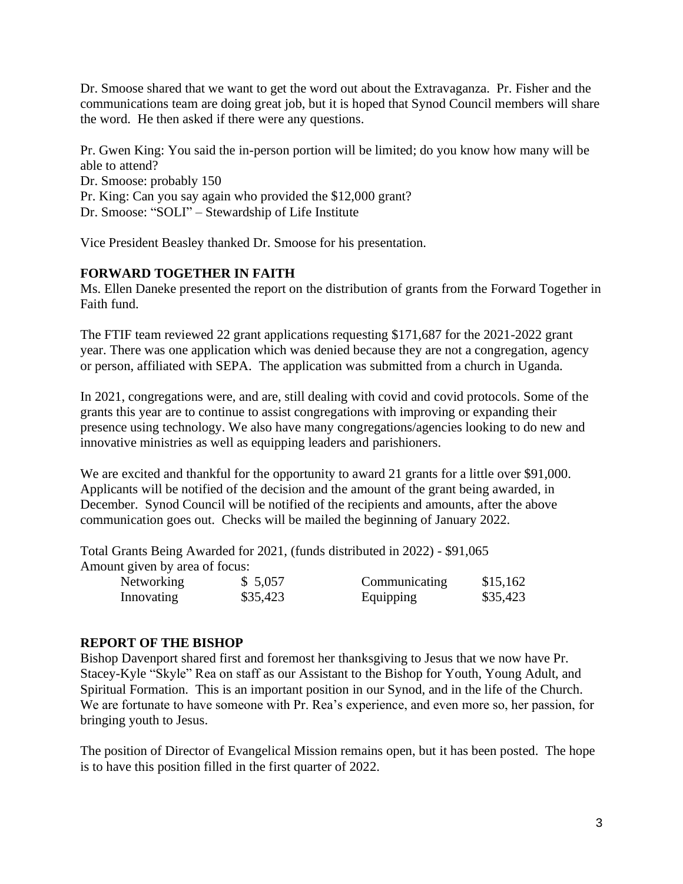Dr. Smoose shared that we want to get the word out about the Extravaganza. Pr. Fisher and the communications team are doing great job, but it is hoped that Synod Council members will share the word. He then asked if there were any questions.

Pr. Gwen King: You said the in-person portion will be limited; do you know how many will be able to attend? Dr. Smoose: probably 150 Pr. King: Can you say again who provided the \$12,000 grant? Dr. Smoose: "SOLI" – Stewardship of Life Institute

Vice President Beasley thanked Dr. Smoose for his presentation.

# **FORWARD TOGETHER IN FAITH**

Ms. Ellen Daneke presented the report on the distribution of grants from the Forward Together in Faith fund.

The FTIF team reviewed 22 grant applications requesting \$171,687 for the 2021-2022 grant year. There was one application which was denied because they are not a congregation, agency or person, affiliated with SEPA. The application was submitted from a church in Uganda.

In 2021, congregations were, and are, still dealing with covid and covid protocols. Some of the grants this year are to continue to assist congregations with improving or expanding their presence using technology. We also have many congregations/agencies looking to do new and innovative ministries as well as equipping leaders and parishioners.

We are excited and thankful for the opportunity to award 21 grants for a little over \$91,000. Applicants will be notified of the decision and the amount of the grant being awarded, in December. Synod Council will be notified of the recipients and amounts, after the above communication goes out. Checks will be mailed the beginning of January 2022.

Total Grants Being Awarded for 2021, (funds distributed in 2022) - \$91,065 Amount given by area of focus:

| <b>Networking</b> | \$5,057  | Communicating | \$15,162 |
|-------------------|----------|---------------|----------|
| Innovating        | \$35,423 | Equipping     | \$35,423 |

#### **REPORT OF THE BISHOP**

Bishop Davenport shared first and foremost her thanksgiving to Jesus that we now have Pr. Stacey-Kyle "Skyle" Rea on staff as our Assistant to the Bishop for Youth, Young Adult, and Spiritual Formation. This is an important position in our Synod, and in the life of the Church. We are fortunate to have someone with Pr. Rea's experience, and even more so, her passion, for bringing youth to Jesus.

The position of Director of Evangelical Mission remains open, but it has been posted. The hope is to have this position filled in the first quarter of 2022.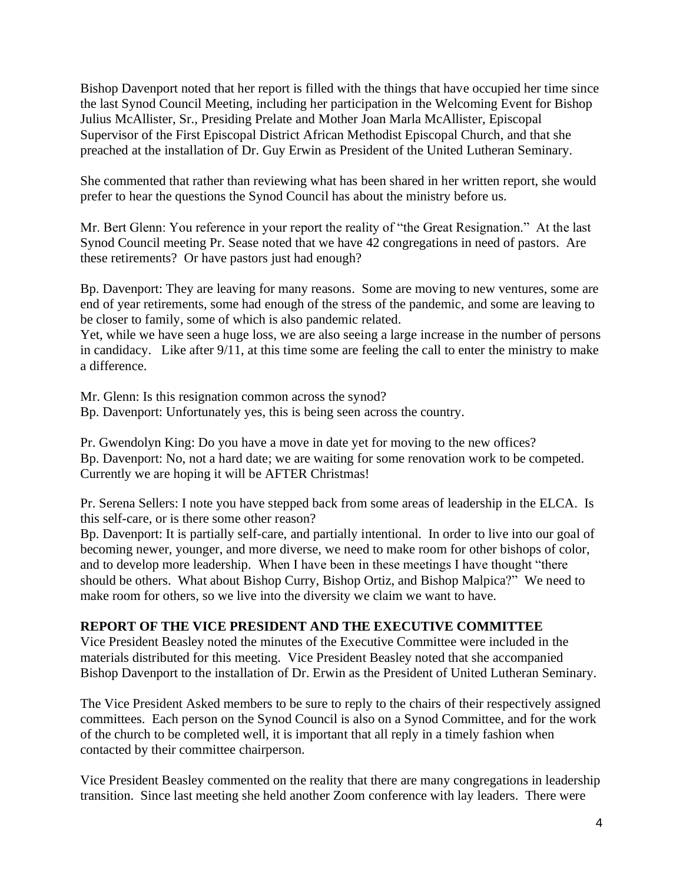Bishop Davenport noted that her report is filled with the things that have occupied her time since the last Synod Council Meeting, including her participation in the Welcoming Event for Bishop Julius McAllister, Sr., Presiding Prelate and Mother Joan Marla McAllister, Episcopal Supervisor of the First Episcopal District African Methodist Episcopal Church, and that she preached at the installation of Dr. Guy Erwin as President of the United Lutheran Seminary.

She commented that rather than reviewing what has been shared in her written report, she would prefer to hear the questions the Synod Council has about the ministry before us.

Mr. Bert Glenn: You reference in your report the reality of "the Great Resignation." At the last Synod Council meeting Pr. Sease noted that we have 42 congregations in need of pastors. Are these retirements? Or have pastors just had enough?

Bp. Davenport: They are leaving for many reasons. Some are moving to new ventures, some are end of year retirements, some had enough of the stress of the pandemic, and some are leaving to be closer to family, some of which is also pandemic related.

Yet, while we have seen a huge loss, we are also seeing a large increase in the number of persons in candidacy. Like after 9/11, at this time some are feeling the call to enter the ministry to make a difference.

Mr. Glenn: Is this resignation common across the synod?

Bp. Davenport: Unfortunately yes, this is being seen across the country.

Pr. Gwendolyn King: Do you have a move in date yet for moving to the new offices? Bp. Davenport: No, not a hard date; we are waiting for some renovation work to be competed. Currently we are hoping it will be AFTER Christmas!

Pr. Serena Sellers: I note you have stepped back from some areas of leadership in the ELCA. Is this self-care, or is there some other reason?

Bp. Davenport: It is partially self-care, and partially intentional. In order to live into our goal of becoming newer, younger, and more diverse, we need to make room for other bishops of color, and to develop more leadership. When I have been in these meetings I have thought "there should be others. What about Bishop Curry, Bishop Ortiz, and Bishop Malpica?" We need to make room for others, so we live into the diversity we claim we want to have.

# **REPORT OF THE VICE PRESIDENT AND THE EXECUTIVE COMMITTEE**

Vice President Beasley noted the minutes of the Executive Committee were included in the materials distributed for this meeting. Vice President Beasley noted that she accompanied Bishop Davenport to the installation of Dr. Erwin as the President of United Lutheran Seminary.

The Vice President Asked members to be sure to reply to the chairs of their respectively assigned committees. Each person on the Synod Council is also on a Synod Committee, and for the work of the church to be completed well, it is important that all reply in a timely fashion when contacted by their committee chairperson.

Vice President Beasley commented on the reality that there are many congregations in leadership transition. Since last meeting she held another Zoom conference with lay leaders. There were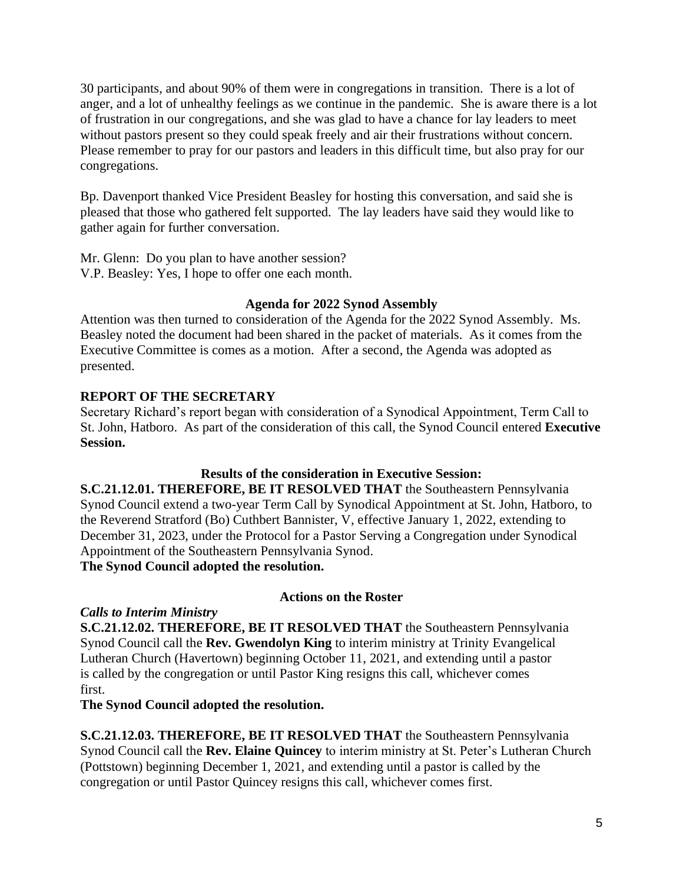30 participants, and about 90% of them were in congregations in transition. There is a lot of anger, and a lot of unhealthy feelings as we continue in the pandemic. She is aware there is a lot of frustration in our congregations, and she was glad to have a chance for lay leaders to meet without pastors present so they could speak freely and air their frustrations without concern. Please remember to pray for our pastors and leaders in this difficult time, but also pray for our congregations.

Bp. Davenport thanked Vice President Beasley for hosting this conversation, and said she is pleased that those who gathered felt supported. The lay leaders have said they would like to gather again for further conversation.

Mr. Glenn: Do you plan to have another session? V.P. Beasley: Yes, I hope to offer one each month.

# **Agenda for 2022 Synod Assembly**

Attention was then turned to consideration of the Agenda for the 2022 Synod Assembly. Ms. Beasley noted the document had been shared in the packet of materials. As it comes from the Executive Committee is comes as a motion. After a second, the Agenda was adopted as presented.

# **REPORT OF THE SECRETARY**

Secretary Richard's report began with consideration of a Synodical Appointment, Term Call to St. John, Hatboro. As part of the consideration of this call, the Synod Council entered **Executive Session.**

# **Results of the consideration in Executive Session:**

**S.C.21.12.01. THEREFORE, BE IT RESOLVED THAT** the Southeastern Pennsylvania Synod Council extend a two-year Term Call by Synodical Appointment at St. John, Hatboro, to the Reverend Stratford (Bo) Cuthbert Bannister, V, effective January 1, 2022, extending to December 31, 2023, under the Protocol for a Pastor Serving a Congregation under Synodical Appointment of the Southeastern Pennsylvania Synod.

# **The Synod Council adopted the resolution.**

# **Actions on the Roster**

# *Calls to Interim Ministry*

**S.C.21.12.02. THEREFORE, BE IT RESOLVED THAT** the Southeastern Pennsylvania Synod Council call the **Rev. Gwendolyn King** to interim ministry at Trinity Evangelical Lutheran Church (Havertown) beginning October 11, 2021, and extending until a pastor is called by the congregation or until Pastor King resigns this call, whichever comes first.

**The Synod Council adopted the resolution.**

**S.C.21.12.03. THEREFORE, BE IT RESOLVED THAT** the Southeastern Pennsylvania Synod Council call the **Rev. Elaine Quincey** to interim ministry at St. Peter's Lutheran Church (Pottstown) beginning December 1, 2021, and extending until a pastor is called by the congregation or until Pastor Quincey resigns this call, whichever comes first.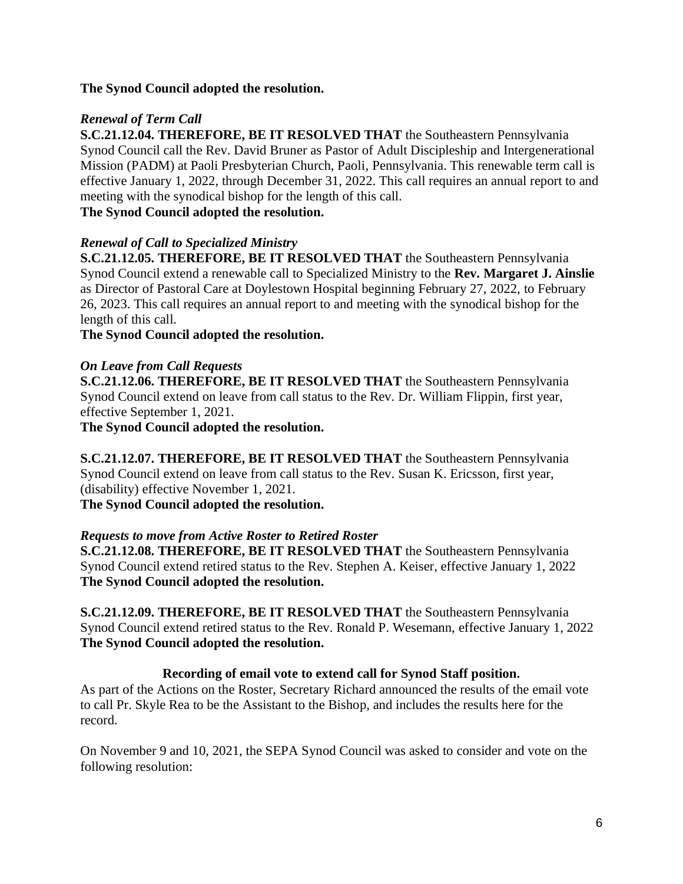# **The Synod Council adopted the resolution.**

## *Renewal of Term Call*

**S.C.21.12.04. THEREFORE, BE IT RESOLVED THAT** the Southeastern Pennsylvania Synod Council call the Rev. David Bruner as Pastor of Adult Discipleship and Intergenerational Mission (PADM) at Paoli Presbyterian Church, Paoli, Pennsylvania. This renewable term call is effective January 1, 2022, through December 31, 2022. This call requires an annual report to and meeting with the synodical bishop for the length of this call.

# **The Synod Council adopted the resolution.**

# *Renewal of Call to Specialized Ministry*

**S.C.21.12.05. THEREFORE, BE IT RESOLVED THAT** the Southeastern Pennsylvania Synod Council extend a renewable call to Specialized Ministry to the **Rev. Margaret J. Ainslie**  as Director of Pastoral Care at Doylestown Hospital beginning February 27, 2022, to February 26, 2023. This call requires an annual report to and meeting with the synodical bishop for the length of this call.

**The Synod Council adopted the resolution.**

# *On Leave from Call Requests*

**S.C.21.12.06. THEREFORE, BE IT RESOLVED THAT** the Southeastern Pennsylvania Synod Council extend on leave from call status to the Rev. Dr. William Flippin, first year, effective September 1, 2021.

**The Synod Council adopted the resolution.**

**S.C.21.12.07. THEREFORE, BE IT RESOLVED THAT** the Southeastern Pennsylvania Synod Council extend on leave from call status to the Rev. Susan K. Ericsson, first year, (disability) effective November 1, 2021.

**The Synod Council adopted the resolution.**

# *Requests to move from Active Roster to Retired Roster*

**S.C.21.12.08. THEREFORE, BE IT RESOLVED THAT** the Southeastern Pennsylvania Synod Council extend retired status to the Rev. Stephen A. Keiser, effective January 1, 2022 **The Synod Council adopted the resolution.**

**S.C.21.12.09. THEREFORE, BE IT RESOLVED THAT** the Southeastern Pennsylvania Synod Council extend retired status to the Rev. Ronald P. Wesemann, effective January 1, 2022 **The Synod Council adopted the resolution.**

# **Recording of email vote to extend call for Synod Staff position.**

As part of the Actions on the Roster, Secretary Richard announced the results of the email vote to call Pr. Skyle Rea to be the Assistant to the Bishop, and includes the results here for the record.

On November 9 and 10, 2021, the SEPA Synod Council was asked to consider and vote on the following resolution: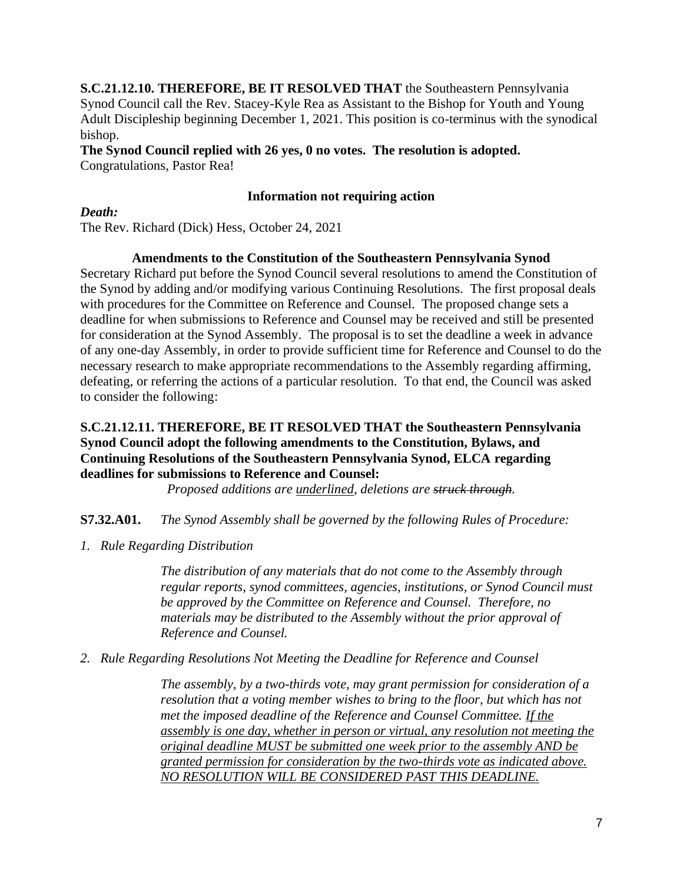**S.C.21.12.10. THEREFORE, BE IT RESOLVED THAT** the Southeastern Pennsylvania Synod Council call the Rev. Stacey-Kyle Rea as Assistant to the Bishop for Youth and Young Adult Discipleship beginning December 1, 2021. This position is co-terminus with the synodical bishop.

**The Synod Council replied with 26 yes, 0 no votes. The resolution is adopted.** Congratulations, Pastor Rea!

## **Information not requiring action**

*Death:*

The Rev. Richard (Dick) Hess, October 24, 2021

#### **Amendments to the Constitution of the Southeastern Pennsylvania Synod**

Secretary Richard put before the Synod Council several resolutions to amend the Constitution of the Synod by adding and/or modifying various Continuing Resolutions. The first proposal deals with procedures for the Committee on Reference and Counsel. The proposed change sets a deadline for when submissions to Reference and Counsel may be received and still be presented for consideration at the Synod Assembly. The proposal is to set the deadline a week in advance of any one-day Assembly, in order to provide sufficient time for Reference and Counsel to do the necessary research to make appropriate recommendations to the Assembly regarding affirming, defeating, or referring the actions of a particular resolution. To that end, the Council was asked to consider the following:

#### **S.C.21.12.11. THEREFORE, BE IT RESOLVED THAT the Southeastern Pennsylvania Synod Council adopt the following amendments to the Constitution, Bylaws, and Continuing Resolutions of the Southeastern Pennsylvania Synod, ELCA regarding deadlines for submissions to Reference and Counsel:**

*Proposed additions are underlined, deletions are struck through.*

#### **S7.32.A01.** *The Synod Assembly shall be governed by the following Rules of Procedure:*

*1. Rule Regarding Distribution*

*The distribution of any materials that do not come to the Assembly through regular reports, synod committees, agencies, institutions, or Synod Council must be approved by the Committee on Reference and Counsel. Therefore, no materials may be distributed to the Assembly without the prior approval of Reference and Counsel.*

#### *2. Rule Regarding Resolutions Not Meeting the Deadline for Reference and Counsel*

*The assembly, by a two-thirds vote, may grant permission for consideration of a resolution that a voting member wishes to bring to the floor, but which has not met the imposed deadline of the Reference and Counsel Committee. If the assembly is one day, whether in person or virtual, any resolution not meeting the original deadline MUST be submitted one week prior to the assembly AND be granted permission for consideration by the two-thirds vote as indicated above. NO RESOLUTION WILL BE CONSIDERED PAST THIS DEADLINE.*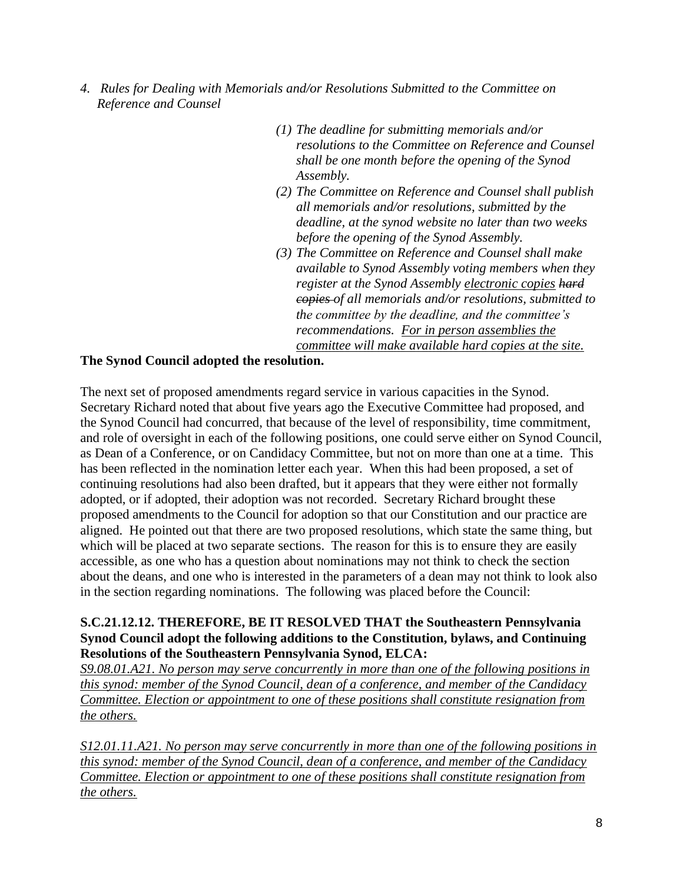- *4. Rules for Dealing with Memorials and/or Resolutions Submitted to the Committee on Reference and Counsel*
	- *(1) The deadline for submitting memorials and/or resolutions to the Committee on Reference and Counsel shall be one month before the opening of the Synod Assembly.*
	- *(2) The Committee on Reference and Counsel shall publish all memorials and/or resolutions, submitted by the deadline, at the synod website no later than two weeks before the opening of the Synod Assembly.*
	- *(3) The Committee on Reference and Counsel shall make available to Synod Assembly voting members when they register at the Synod Assembly electronic copies hard copies of all memorials and/or resolutions, submitted to the committee by the deadline, and the committee's recommendations. For in person assemblies the committee will make available hard copies at the site.*

#### **The Synod Council adopted the resolution.**

The next set of proposed amendments regard service in various capacities in the Synod. Secretary Richard noted that about five years ago the Executive Committee had proposed, and the Synod Council had concurred, that because of the level of responsibility, time commitment, and role of oversight in each of the following positions, one could serve either on Synod Council, as Dean of a Conference, or on Candidacy Committee, but not on more than one at a time. This has been reflected in the nomination letter each year. When this had been proposed, a set of continuing resolutions had also been drafted, but it appears that they were either not formally adopted, or if adopted, their adoption was not recorded. Secretary Richard brought these proposed amendments to the Council for adoption so that our Constitution and our practice are aligned. He pointed out that there are two proposed resolutions, which state the same thing, but which will be placed at two separate sections. The reason for this is to ensure they are easily accessible, as one who has a question about nominations may not think to check the section about the deans, and one who is interested in the parameters of a dean may not think to look also in the section regarding nominations. The following was placed before the Council:

#### **S.C.21.12.12. THEREFORE, BE IT RESOLVED THAT the Southeastern Pennsylvania Synod Council adopt the following additions to the Constitution, bylaws, and Continuing Resolutions of the Southeastern Pennsylvania Synod, ELCA:**

*S9.08.01.A21. No person may serve concurrently in more than one of the following positions in this synod: member of the Synod Council, dean of a conference, and member of the Candidacy Committee. Election or appointment to one of these positions shall constitute resignation from the others.*

*S12.01.11.A21. No person may serve concurrently in more than one of the following positions in this synod: member of the Synod Council, dean of a conference, and member of the Candidacy Committee. Election or appointment to one of these positions shall constitute resignation from the others.*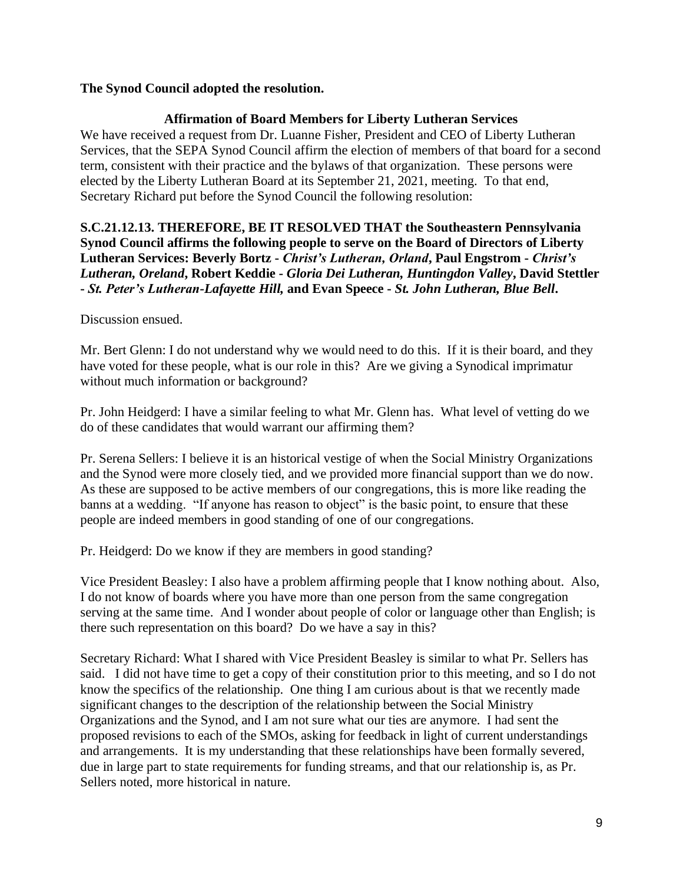## **The Synod Council adopted the resolution.**

## **Affirmation of Board Members for Liberty Lutheran Services**

We have received a request from Dr. Luanne Fisher, President and CEO of Liberty Lutheran Services, that the SEPA Synod Council affirm the election of members of that board for a second term, consistent with their practice and the bylaws of that organization. These persons were elected by the Liberty Lutheran Board at its September 21, 2021, meeting. To that end, Secretary Richard put before the Synod Council the following resolution:

## **S.C.21.12.13. THEREFORE, BE IT RESOLVED THAT the Southeastern Pennsylvania Synod Council affirms the following people to serve on the Board of Directors of Liberty Lutheran Services: Beverly Bortz -** *Christ's Lutheran, Orland***, Paul Engstrom -** *Christ's Lutheran, Oreland***, Robert Keddie -** *Gloria Dei Lutheran, Huntingdon Valley***, David Stettler -** *St. Peter's Lutheran-Lafayette Hill,* **and Evan Speece -** *St. John Lutheran, Blue Bell***.**

Discussion ensued.

Mr. Bert Glenn: I do not understand why we would need to do this. If it is their board, and they have voted for these people, what is our role in this? Are we giving a Synodical imprimatur without much information or background?

Pr. John Heidgerd: I have a similar feeling to what Mr. Glenn has. What level of vetting do we do of these candidates that would warrant our affirming them?

Pr. Serena Sellers: I believe it is an historical vestige of when the Social Ministry Organizations and the Synod were more closely tied, and we provided more financial support than we do now. As these are supposed to be active members of our congregations, this is more like reading the banns at a wedding. "If anyone has reason to object" is the basic point, to ensure that these people are indeed members in good standing of one of our congregations.

Pr. Heidgerd: Do we know if they are members in good standing?

Vice President Beasley: I also have a problem affirming people that I know nothing about. Also, I do not know of boards where you have more than one person from the same congregation serving at the same time. And I wonder about people of color or language other than English; is there such representation on this board? Do we have a say in this?

Secretary Richard: What I shared with Vice President Beasley is similar to what Pr. Sellers has said. I did not have time to get a copy of their constitution prior to this meeting, and so I do not know the specifics of the relationship. One thing I am curious about is that we recently made significant changes to the description of the relationship between the Social Ministry Organizations and the Synod, and I am not sure what our ties are anymore. I had sent the proposed revisions to each of the SMOs, asking for feedback in light of current understandings and arrangements. It is my understanding that these relationships have been formally severed, due in large part to state requirements for funding streams, and that our relationship is, as Pr. Sellers noted, more historical in nature.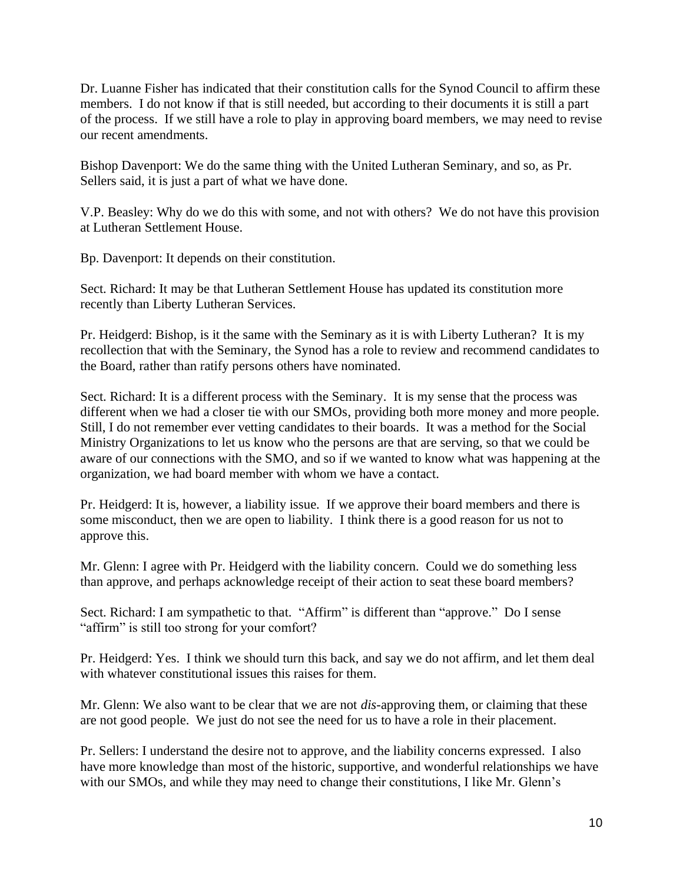Dr. Luanne Fisher has indicated that their constitution calls for the Synod Council to affirm these members. I do not know if that is still needed, but according to their documents it is still a part of the process. If we still have a role to play in approving board members, we may need to revise our recent amendments.

Bishop Davenport: We do the same thing with the United Lutheran Seminary, and so, as Pr. Sellers said, it is just a part of what we have done.

V.P. Beasley: Why do we do this with some, and not with others? We do not have this provision at Lutheran Settlement House.

Bp. Davenport: It depends on their constitution.

Sect. Richard: It may be that Lutheran Settlement House has updated its constitution more recently than Liberty Lutheran Services.

Pr. Heidgerd: Bishop, is it the same with the Seminary as it is with Liberty Lutheran? It is my recollection that with the Seminary, the Synod has a role to review and recommend candidates to the Board, rather than ratify persons others have nominated.

Sect. Richard: It is a different process with the Seminary. It is my sense that the process was different when we had a closer tie with our SMOs, providing both more money and more people. Still, I do not remember ever vetting candidates to their boards. It was a method for the Social Ministry Organizations to let us know who the persons are that are serving, so that we could be aware of our connections with the SMO, and so if we wanted to know what was happening at the organization, we had board member with whom we have a contact.

Pr. Heidgerd: It is, however, a liability issue. If we approve their board members and there is some misconduct, then we are open to liability. I think there is a good reason for us not to approve this.

Mr. Glenn: I agree with Pr. Heidgerd with the liability concern. Could we do something less than approve, and perhaps acknowledge receipt of their action to seat these board members?

Sect. Richard: I am sympathetic to that. "Affirm" is different than "approve." Do I sense "affirm" is still too strong for your comfort?

Pr. Heidgerd: Yes. I think we should turn this back, and say we do not affirm, and let them deal with whatever constitutional issues this raises for them.

Mr. Glenn: We also want to be clear that we are not *dis*-approving them, or claiming that these are not good people. We just do not see the need for us to have a role in their placement.

Pr. Sellers: I understand the desire not to approve, and the liability concerns expressed. I also have more knowledge than most of the historic, supportive, and wonderful relationships we have with our SMOs, and while they may need to change their constitutions, I like Mr. Glenn's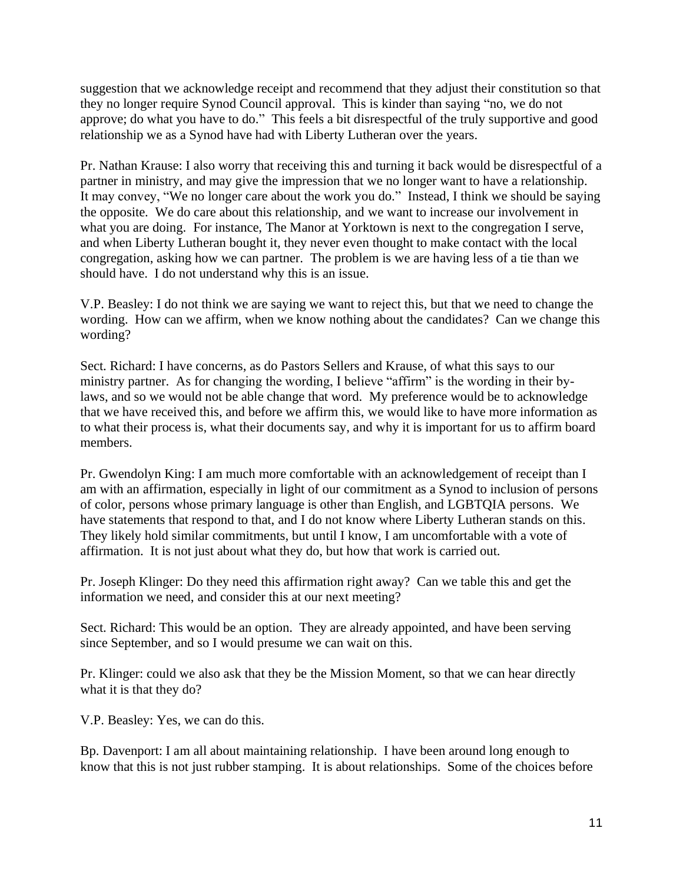suggestion that we acknowledge receipt and recommend that they adjust their constitution so that they no longer require Synod Council approval. This is kinder than saying "no, we do not approve; do what you have to do." This feels a bit disrespectful of the truly supportive and good relationship we as a Synod have had with Liberty Lutheran over the years.

Pr. Nathan Krause: I also worry that receiving this and turning it back would be disrespectful of a partner in ministry, and may give the impression that we no longer want to have a relationship. It may convey, "We no longer care about the work you do." Instead, I think we should be saying the opposite. We do care about this relationship, and we want to increase our involvement in what you are doing. For instance, The Manor at Yorktown is next to the congregation I serve, and when Liberty Lutheran bought it, they never even thought to make contact with the local congregation, asking how we can partner. The problem is we are having less of a tie than we should have. I do not understand why this is an issue.

V.P. Beasley: I do not think we are saying we want to reject this, but that we need to change the wording. How can we affirm, when we know nothing about the candidates? Can we change this wording?

Sect. Richard: I have concerns, as do Pastors Sellers and Krause, of what this says to our ministry partner. As for changing the wording, I believe "affirm" is the wording in their bylaws, and so we would not be able change that word. My preference would be to acknowledge that we have received this, and before we affirm this, we would like to have more information as to what their process is, what their documents say, and why it is important for us to affirm board members.

Pr. Gwendolyn King: I am much more comfortable with an acknowledgement of receipt than I am with an affirmation, especially in light of our commitment as a Synod to inclusion of persons of color, persons whose primary language is other than English, and LGBTQIA persons. We have statements that respond to that, and I do not know where Liberty Lutheran stands on this. They likely hold similar commitments, but until I know, I am uncomfortable with a vote of affirmation. It is not just about what they do, but how that work is carried out.

Pr. Joseph Klinger: Do they need this affirmation right away? Can we table this and get the information we need, and consider this at our next meeting?

Sect. Richard: This would be an option. They are already appointed, and have been serving since September, and so I would presume we can wait on this.

Pr. Klinger: could we also ask that they be the Mission Moment, so that we can hear directly what it is that they do?

V.P. Beasley: Yes, we can do this.

Bp. Davenport: I am all about maintaining relationship. I have been around long enough to know that this is not just rubber stamping. It is about relationships. Some of the choices before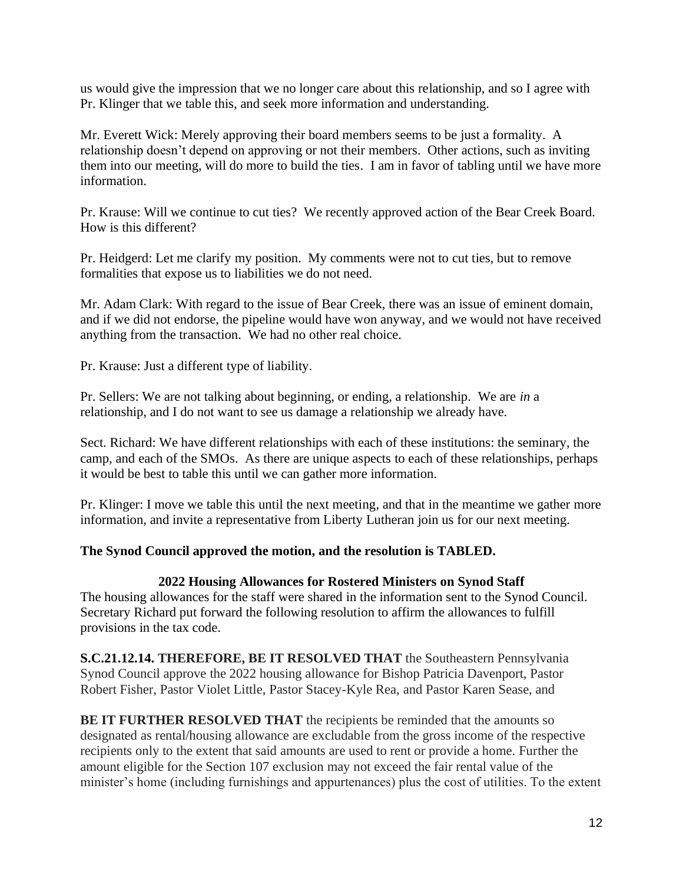us would give the impression that we no longer care about this relationship, and so I agree with Pr. Klinger that we table this, and seek more information and understanding.

Mr. Everett Wick: Merely approving their board members seems to be just a formality. A relationship doesn't depend on approving or not their members. Other actions, such as inviting them into our meeting, will do more to build the ties. I am in favor of tabling until we have more information.

Pr. Krause: Will we continue to cut ties? We recently approved action of the Bear Creek Board. How is this different?

Pr. Heidgerd: Let me clarify my position. My comments were not to cut ties, but to remove formalities that expose us to liabilities we do not need.

Mr. Adam Clark: With regard to the issue of Bear Creek, there was an issue of eminent domain, and if we did not endorse, the pipeline would have won anyway, and we would not have received anything from the transaction. We had no other real choice.

Pr. Krause: Just a different type of liability.

Pr. Sellers: We are not talking about beginning, or ending, a relationship. We are *in* a relationship, and I do not want to see us damage a relationship we already have.

Sect. Richard: We have different relationships with each of these institutions: the seminary, the camp, and each of the SMOs. As there are unique aspects to each of these relationships, perhaps it would be best to table this until we can gather more information.

Pr. Klinger: I move we table this until the next meeting, and that in the meantime we gather more information, and invite a representative from Liberty Lutheran join us for our next meeting.

#### **The Synod Council approved the motion, and the resolution is TABLED.**

#### **2022 Housing Allowances for Rostered Ministers on Synod Staff**

The housing allowances for the staff were shared in the information sent to the Synod Council. Secretary Richard put forward the following resolution to affirm the allowances to fulfill provisions in the tax code.

**S.C.21.12.14. THEREFORE, BE IT RESOLVED THAT** the Southeastern Pennsylvania Synod Council approve the 2022 housing allowance for Bishop Patricia Davenport, Pastor Robert Fisher, Pastor Violet Little, Pastor Stacey-Kyle Rea, and Pastor Karen Sease, and

**BE IT FURTHER RESOLVED THAT** the recipients be reminded that the amounts so designated as rental/housing allowance are excludable from the gross income of the respective recipients only to the extent that said amounts are used to rent or provide a home. Further the amount eligible for the Section 107 exclusion may not exceed the fair rental value of the minister's home (including furnishings and appurtenances) plus the cost of utilities. To the extent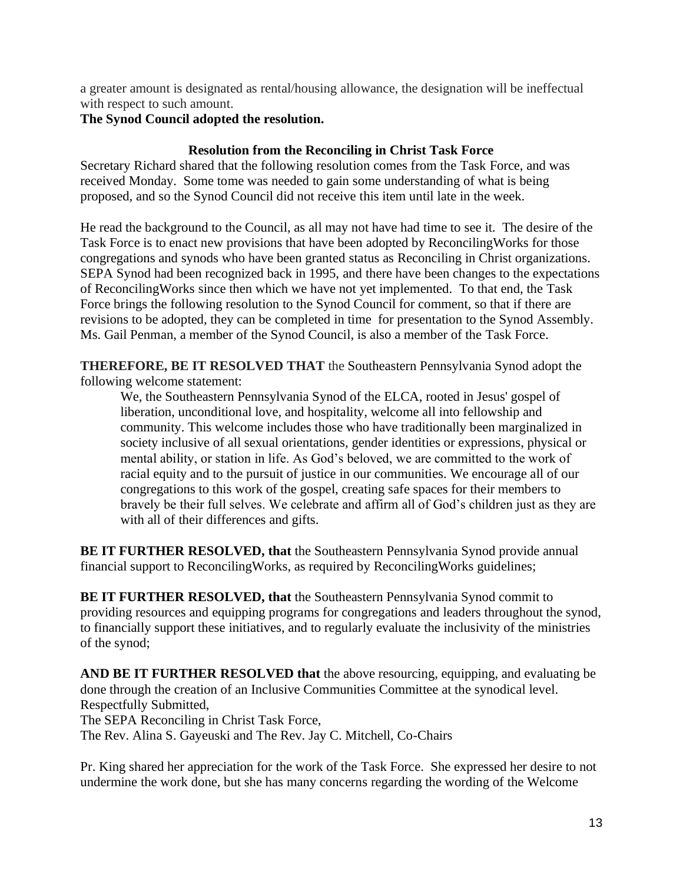a greater amount is designated as rental/housing allowance, the designation will be ineffectual with respect to such amount.

# **The Synod Council adopted the resolution.**

# **Resolution from the Reconciling in Christ Task Force**

Secretary Richard shared that the following resolution comes from the Task Force, and was received Monday. Some tome was needed to gain some understanding of what is being proposed, and so the Synod Council did not receive this item until late in the week.

He read the background to the Council, as all may not have had time to see it. The desire of the Task Force is to enact new provisions that have been adopted by ReconcilingWorks for those congregations and synods who have been granted status as Reconciling in Christ organizations. SEPA Synod had been recognized back in 1995, and there have been changes to the expectations of ReconcilingWorks since then which we have not yet implemented. To that end, the Task Force brings the following resolution to the Synod Council for comment, so that if there are revisions to be adopted, they can be completed in time for presentation to the Synod Assembly. Ms. Gail Penman, a member of the Synod Council, is also a member of the Task Force.

**THEREFORE, BE IT RESOLVED THAT** the Southeastern Pennsylvania Synod adopt the following welcome statement:

We, the Southeastern Pennsylvania Synod of the ELCA, rooted in Jesus' gospel of liberation, unconditional love, and hospitality, welcome all into fellowship and community. This welcome includes those who have traditionally been marginalized in society inclusive of all sexual orientations, gender identities or expressions, physical or mental ability, or station in life. As God's beloved, we are committed to the work of racial equity and to the pursuit of justice in our communities. We encourage all of our congregations to this work of the gospel, creating safe spaces for their members to bravely be their full selves. We celebrate and affirm all of God's children just as they are with all of their differences and gifts.

**BE IT FURTHER RESOLVED, that** the Southeastern Pennsylvania Synod provide annual financial support to ReconcilingWorks, as required by ReconcilingWorks guidelines;

**BE IT FURTHER RESOLVED, that** the Southeastern Pennsylvania Synod commit to providing resources and equipping programs for congregations and leaders throughout the synod, to financially support these initiatives, and to regularly evaluate the inclusivity of the ministries of the synod;

**AND BE IT FURTHER RESOLVED that** the above resourcing, equipping, and evaluating be done through the creation of an Inclusive Communities Committee at the synodical level. Respectfully Submitted,

The SEPA Reconciling in Christ Task Force,

The Rev. Alina S. Gayeuski and The Rev. Jay C. Mitchell, Co-Chairs

Pr. King shared her appreciation for the work of the Task Force. She expressed her desire to not undermine the work done, but she has many concerns regarding the wording of the Welcome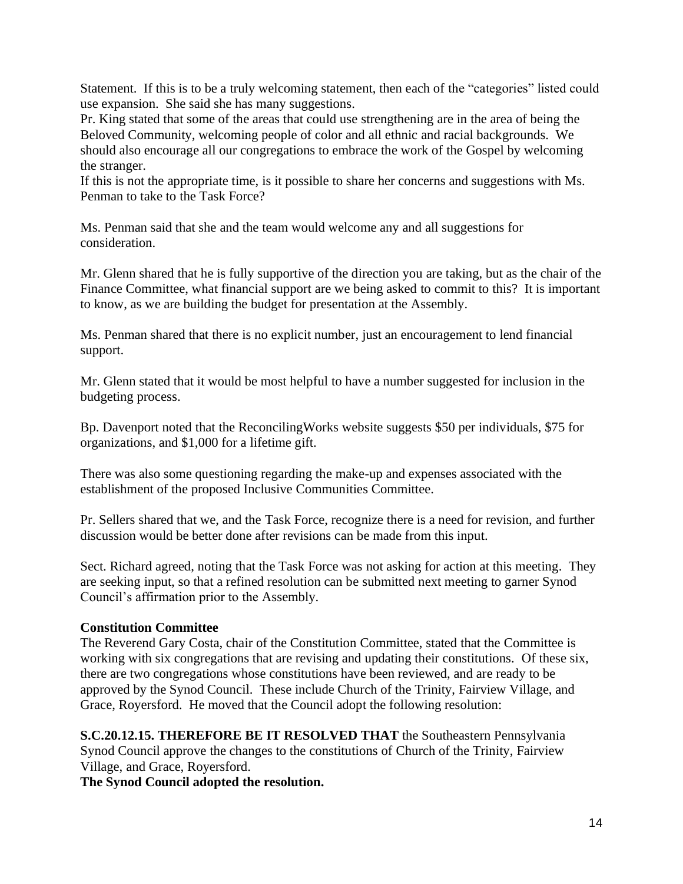Statement. If this is to be a truly welcoming statement, then each of the "categories" listed could use expansion. She said she has many suggestions.

Pr. King stated that some of the areas that could use strengthening are in the area of being the Beloved Community, welcoming people of color and all ethnic and racial backgrounds. We should also encourage all our congregations to embrace the work of the Gospel by welcoming the stranger.

If this is not the appropriate time, is it possible to share her concerns and suggestions with Ms. Penman to take to the Task Force?

Ms. Penman said that she and the team would welcome any and all suggestions for consideration.

Mr. Glenn shared that he is fully supportive of the direction you are taking, but as the chair of the Finance Committee, what financial support are we being asked to commit to this? It is important to know, as we are building the budget for presentation at the Assembly.

Ms. Penman shared that there is no explicit number, just an encouragement to lend financial support.

Mr. Glenn stated that it would be most helpful to have a number suggested for inclusion in the budgeting process.

Bp. Davenport noted that the ReconcilingWorks website suggests \$50 per individuals, \$75 for organizations, and \$1,000 for a lifetime gift.

There was also some questioning regarding the make-up and expenses associated with the establishment of the proposed Inclusive Communities Committee.

Pr. Sellers shared that we, and the Task Force, recognize there is a need for revision, and further discussion would be better done after revisions can be made from this input.

Sect. Richard agreed, noting that the Task Force was not asking for action at this meeting. They are seeking input, so that a refined resolution can be submitted next meeting to garner Synod Council's affirmation prior to the Assembly.

# **Constitution Committee**

The Reverend Gary Costa, chair of the Constitution Committee, stated that the Committee is working with six congregations that are revising and updating their constitutions. Of these six, there are two congregations whose constitutions have been reviewed, and are ready to be approved by the Synod Council. These include Church of the Trinity, Fairview Village, and Grace, Royersford. He moved that the Council adopt the following resolution:

**S.C.20.12.15. THEREFORE BE IT RESOLVED THAT** the Southeastern Pennsylvania Synod Council approve the changes to the constitutions of Church of the Trinity, Fairview Village, and Grace, Royersford.

**The Synod Council adopted the resolution.**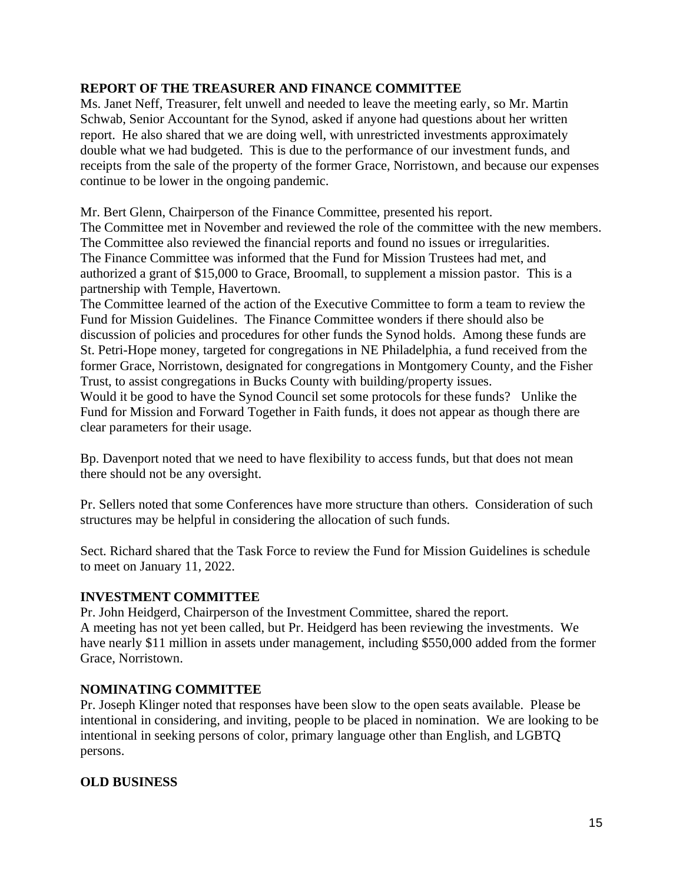# **REPORT OF THE TREASURER AND FINANCE COMMITTEE**

Ms. Janet Neff, Treasurer, felt unwell and needed to leave the meeting early, so Mr. Martin Schwab, Senior Accountant for the Synod, asked if anyone had questions about her written report. He also shared that we are doing well, with unrestricted investments approximately double what we had budgeted. This is due to the performance of our investment funds, and receipts from the sale of the property of the former Grace, Norristown, and because our expenses continue to be lower in the ongoing pandemic.

Mr. Bert Glenn, Chairperson of the Finance Committee, presented his report.

The Committee met in November and reviewed the role of the committee with the new members. The Committee also reviewed the financial reports and found no issues or irregularities. The Finance Committee was informed that the Fund for Mission Trustees had met, and authorized a grant of \$15,000 to Grace, Broomall, to supplement a mission pastor. This is a partnership with Temple, Havertown.

The Committee learned of the action of the Executive Committee to form a team to review the Fund for Mission Guidelines. The Finance Committee wonders if there should also be discussion of policies and procedures for other funds the Synod holds. Among these funds are St. Petri-Hope money, targeted for congregations in NE Philadelphia, a fund received from the former Grace, Norristown, designated for congregations in Montgomery County, and the Fisher Trust, to assist congregations in Bucks County with building/property issues.

Would it be good to have the Synod Council set some protocols for these funds? Unlike the Fund for Mission and Forward Together in Faith funds, it does not appear as though there are clear parameters for their usage.

Bp. Davenport noted that we need to have flexibility to access funds, but that does not mean there should not be any oversight.

Pr. Sellers noted that some Conferences have more structure than others. Consideration of such structures may be helpful in considering the allocation of such funds.

Sect. Richard shared that the Task Force to review the Fund for Mission Guidelines is schedule to meet on January 11, 2022.

# **INVESTMENT COMMITTEE**

Pr. John Heidgerd, Chairperson of the Investment Committee, shared the report. A meeting has not yet been called, but Pr. Heidgerd has been reviewing the investments. We have nearly \$11 million in assets under management, including \$550,000 added from the former Grace, Norristown.

# **NOMINATING COMMITTEE**

Pr. Joseph Klinger noted that responses have been slow to the open seats available. Please be intentional in considering, and inviting, people to be placed in nomination. We are looking to be intentional in seeking persons of color, primary language other than English, and LGBTQ persons.

# **OLD BUSINESS**